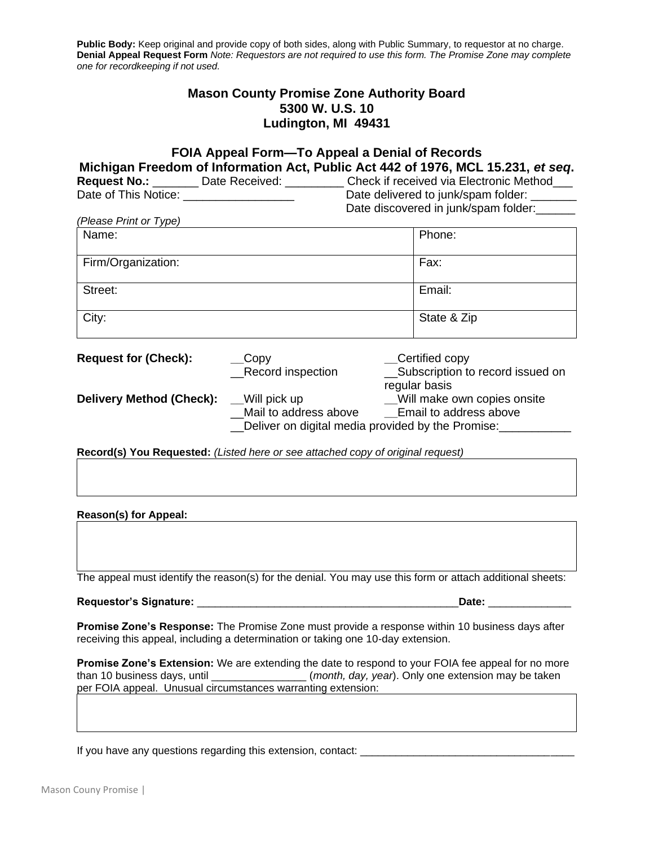**Public Body:** Keep original and provide copy of both sides, along with Public Summary, to requestor at no charge. **Denial Appeal Request Form** *Note: Requestors are not required to use this form. The Promise Zone may complete one for recordkeeping if not used.*

## **Mason County Promise Zone Authority Board 5300 W. U.S. 10 Ludington, MI 49431**

| Date of This Notice: ____________________                                     | FOIA Appeal Form-To Appeal a Denial of Records                                                                                                                                                                                                                                                                                             | Michigan Freedom of Information Act, Public Act 442 of 1976, MCL 15.231, et seq.<br>Request No.: _______ Date Received: _________ Check if received via Electronic Method___<br>Date delivered to junk/spam folder:<br>Date discovered in junk/spam folder: |
|-------------------------------------------------------------------------------|--------------------------------------------------------------------------------------------------------------------------------------------------------------------------------------------------------------------------------------------------------------------------------------------------------------------------------------------|-------------------------------------------------------------------------------------------------------------------------------------------------------------------------------------------------------------------------------------------------------------|
| (Please Print or Type)                                                        |                                                                                                                                                                                                                                                                                                                                            |                                                                                                                                                                                                                                                             |
| Name:                                                                         |                                                                                                                                                                                                                                                                                                                                            | Phone:                                                                                                                                                                                                                                                      |
| Firm/Organization:                                                            |                                                                                                                                                                                                                                                                                                                                            | Fax:                                                                                                                                                                                                                                                        |
| Street:                                                                       |                                                                                                                                                                                                                                                                                                                                            | Email:                                                                                                                                                                                                                                                      |
| City:                                                                         |                                                                                                                                                                                                                                                                                                                                            | State & Zip                                                                                                                                                                                                                                                 |
| <b>Request for (Check):</b><br><b>Delivery Method (Check):</b> __Will pick up | __Certified copy<br>$\_\$ {Copy}<br>Record inspection<br>__Subscription to record issued on<br>regular basis<br>__Will make own copies onsite<br>Mail to address above _____Email to address above<br>Deliver on digital media provided by the Promise:<br>Record(s) You Requested: (Listed here or see attached copy of original request) |                                                                                                                                                                                                                                                             |
|                                                                               |                                                                                                                                                                                                                                                                                                                                            |                                                                                                                                                                                                                                                             |
| <b>Reason(s) for Appeal:</b>                                                  |                                                                                                                                                                                                                                                                                                                                            |                                                                                                                                                                                                                                                             |
|                                                                               |                                                                                                                                                                                                                                                                                                                                            | The appeal must identify the reason(s) for the denial. You may use this form or attach additional sheets:                                                                                                                                                   |
|                                                                               |                                                                                                                                                                                                                                                                                                                                            | Date: __________                                                                                                                                                                                                                                            |
|                                                                               |                                                                                                                                                                                                                                                                                                                                            | Dramina Zanala Daananga: The Dramina Zana musik provide a response within 40 business days ofter                                                                                                                                                            |

**Promise Zone's Response:** The Promise Zone must provide a response within 10 business days after receiving this appeal, including a determination or taking one 10-day extension.

**Promise Zone's Extension:** We are extending the date to respond to your FOIA fee appeal for no more than 10 business days, until \_\_\_\_\_\_\_\_\_\_\_\_\_\_\_\_ (*month, day, year*). Only one extension may be taken per FOIA appeal. Unusual circumstances warranting extension:

If you have any questions regarding this extension, contact: \_\_\_\_\_\_\_\_\_\_\_\_\_\_\_\_\_\_\_\_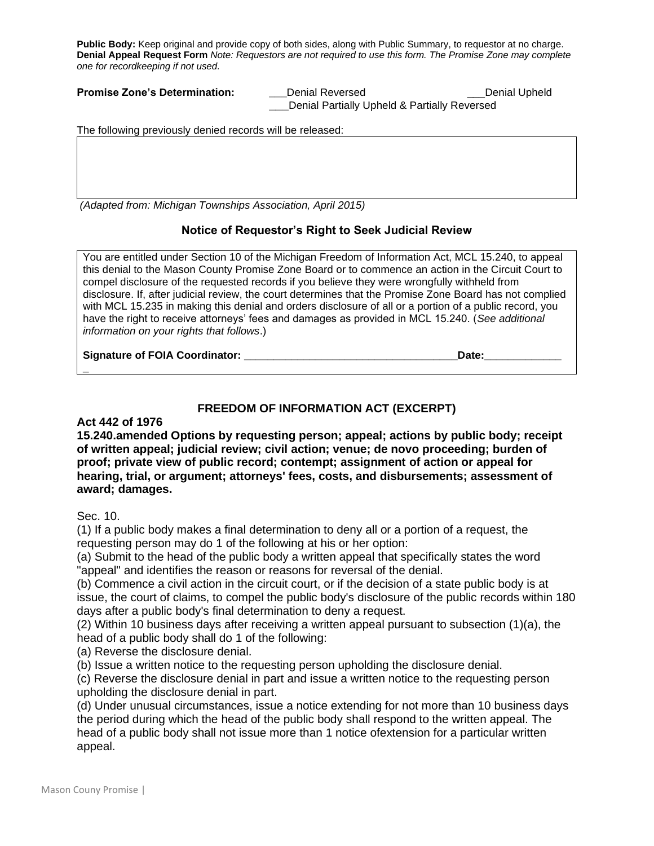**Public Body:** Keep original and provide copy of both sides, along with Public Summary, to requestor at no charge. **Denial Appeal Request Form** *Note: Requestors are not required to use this form. The Promise Zone may complete one for recordkeeping if not used.*

| <b>Promise Zone's Determination:</b> | Denial Reversed                              | Denial Upheld_ |
|--------------------------------------|----------------------------------------------|----------------|
|                                      | Denial Partially Upheld & Partially Reversed |                |

The following previously denied records will be released:

*(Adapted from: Michigan Townships Association, April 2015)*

## **Notice of Requestor's Right to Seek Judicial Review**

You are entitled under Section 10 of the Michigan Freedom of Information Act, MCL 15.240, to appeal this denial to the Mason County Promise Zone Board or to commence an action in the Circuit Court to compel disclosure of the requested records if you believe they were wrongfully withheld from disclosure. If, after judicial review, the court determines that the Promise Zone Board has not complied with MCL 15.235 in making this denial and orders disclosure of all or a portion of a public record, you have the right to receive attorneys' fees and damages as provided in MCL 15.240. (*See additional information on your rights that follows*.)

Signature of FOIA Coordinator: **with a set of the set of the set of the set of the set of the set of the set of t** 

## **FREEDOM OF INFORMATION ACT (EXCERPT)**

## **Act 442 of 1976**

**15.240.amended Options by requesting person; appeal; actions by public body; receipt of written appeal; judicial review; civil action; venue; de novo proceeding; burden of proof; private view of public record; contempt; assignment of action or appeal for hearing, trial, or argument; attorneys' fees, costs, and disbursements; assessment of award; damages.**

Sec. 10.

**\_**

(1) If a public body makes a final determination to deny all or a portion of a request, the requesting person may do 1 of the following at his or her option:

(a) Submit to the head of the public body a written appeal that specifically states the word "appeal" and identifies the reason or reasons for reversal of the denial.

(b) Commence a civil action in the circuit court, or if the decision of a state public body is at issue, the court of claims, to compel the public body's disclosure of the public records within 180 days after a public body's final determination to deny a request.

(2) Within 10 business days after receiving a written appeal pursuant to subsection (1)(a), the head of a public body shall do 1 of the following:

(a) Reverse the disclosure denial.

(b) Issue a written notice to the requesting person upholding the disclosure denial.

(c) Reverse the disclosure denial in part and issue a written notice to the requesting person upholding the disclosure denial in part.

(d) Under unusual circumstances, issue a notice extending for not more than 10 business days the period during which the head of the public body shall respond to the written appeal. The head of a public body shall not issue more than 1 notice ofextension for a particular written appeal.